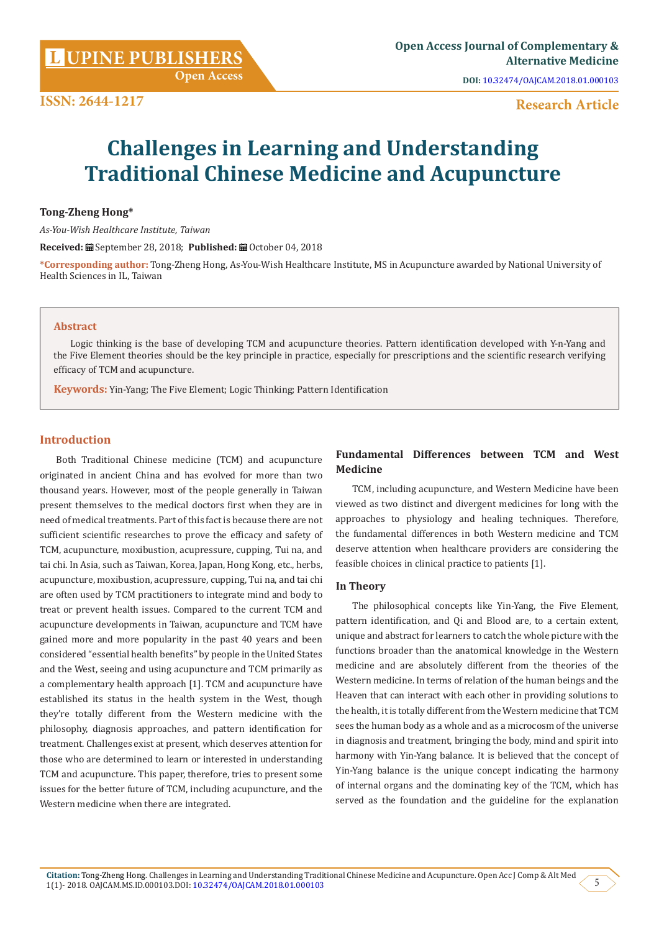**Open Access**

**DOI:** [10.32474/OAJCAM.2018.01.000103](https://doi.org/10.32474/OAJCAM.2018.01.000103)

# **ISSN: 2644-1217**

# **Research Article**

# **Challenges in Learning and Understanding Traditional Chinese Medicine and Acupuncture**

# **Tong-Zheng Hong\***

*As-You-Wish Healthcare Institute, Taiwan*

Received: **■** September 28, 2018; Published: ■ October 04, 2018

**\*Corresponding author:** Tong-Zheng Hong, As-You-Wish Healthcare Institute, MS in Acupuncture awarded by National University of Health Sciences in IL, Taiwan

#### **Abstract**

Logic thinking is the base of developing TCM and acupuncture theories. Pattern identification developed with Y-n-Yang and the Five Element theories should be the key principle in practice, especially for prescriptions and the scientific research verifying efficacy of TCM and acupuncture.

**Keywords:** Yin-Yang; The Five Element; Logic Thinking; Pattern Identification

### **Introduction**

Both Traditional Chinese medicine (TCM) and acupuncture originated in ancient China and has evolved for more than two thousand years. However, most of the people generally in Taiwan present themselves to the medical doctors first when they are in need of medical treatments. Part of this fact is because there are not sufficient scientific researches to prove the efficacy and safety of TCM, acupuncture, moxibustion, acupressure, cupping, Tui na, and tai chi. In Asia, such as Taiwan, Korea, Japan, Hong Kong, etc., herbs, acupuncture, moxibustion, acupressure, cupping, Tui na, and tai chi are often used by TCM practitioners to integrate mind and body to treat or prevent health issues. Compared to the current TCM and acupuncture developments in Taiwan, acupuncture and TCM have gained more and more popularity in the past 40 years and been considered "essential health benefits" by people in the United States and the West, seeing and using acupuncture and TCM primarily as a complementary health approach [1]. TCM and acupuncture have established its status in the health system in the West, though they're totally different from the Western medicine with the philosophy, diagnosis approaches, and pattern identification for treatment. Challenges exist at present, which deserves attention for those who are determined to learn or interested in understanding TCM and acupuncture. This paper, therefore, tries to present some issues for the better future of TCM, including acupuncture, and the Western medicine when there are integrated.

# **Fundamental Differences between TCM and West Medicine**

TCM, including acupuncture, and Western Medicine have been viewed as two distinct and divergent medicines for long with the approaches to physiology and healing techniques. Therefore, the fundamental differences in both Western medicine and TCM deserve attention when healthcare providers are considering the feasible choices in clinical practice to patients [1].

#### **In Theory**

The philosophical concepts like Yin-Yang, the Five Element, pattern identification, and Qi and Blood are, to a certain extent, unique and abstract for learners to catch the whole picture with the functions broader than the anatomical knowledge in the Western medicine and are absolutely different from the theories of the Western medicine. In terms of relation of the human beings and the Heaven that can interact with each other in providing solutions to the health, it is totally different from the Western medicine that TCM sees the human body as a whole and as a microcosm of the universe in diagnosis and treatment, bringing the body, mind and spirit into harmony with Yin-Yang balance. It is believed that the concept of Yin-Yang balance is the unique concept indicating the harmony of internal organs and the dominating key of the TCM, which has served as the foundation and the guideline for the explanation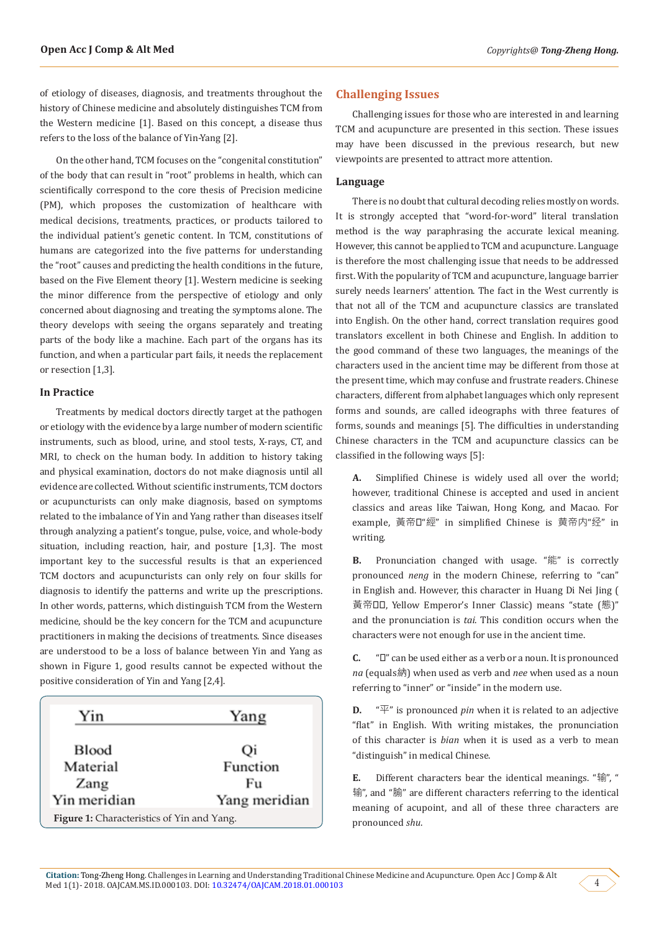of etiology of diseases, diagnosis, and treatments throughout the history of Chinese medicine and absolutely distinguishes TCM from the Western medicine [1]. Based on this concept, a disease thus refers to the loss of the balance of Yin-Yang [2].

On the other hand, TCM focuses on the "congenital constitution" of the body that can result in "root" problems in health, which can scientifically correspond to the core thesis of Precision medicine (PM), which proposes the customization of healthcare with medical decisions, treatments, practices, or products tailored to the individual patient's genetic content. In TCM, constitutions of humans are categorized into the five patterns for understanding the "root" causes and predicting the health conditions in the future, based on the Five Element theory [1]. Western medicine is seeking the minor difference from the perspective of etiology and only concerned about diagnosing and treating the symptoms alone. The theory develops with seeing the organs separately and treating parts of the body like a machine. Each part of the organs has its function, and when a particular part fails, it needs the replacement or resection [1,3].

#### **In Practice**

Treatments by medical doctors directly target at the pathogen or etiology with the evidence by a large number of modern scientific instruments, such as blood, urine, and stool tests, X-rays, CT, and MRI, to check on the human body. In addition to history taking and physical examination, doctors do not make diagnosis until all evidence are collected. Without scientific instruments, TCM doctors or acupuncturists can only make diagnosis, based on symptoms related to the imbalance of Yin and Yang rather than diseases itself through analyzing a patient's tongue, pulse, voice, and whole-body situation, including reaction, hair, and posture [1,3]. The most important key to the successful results is that an experienced TCM doctors and acupuncturists can only rely on four skills for diagnosis to identify the patterns and write up the prescriptions. In other words, patterns, which distinguish TCM from the Western medicine, should be the key concern for the TCM and acupuncture practitioners in making the decisions of treatments. Since diseases are understood to be a loss of balance between Yin and Yang as shown in Figure 1, good results cannot be expected without the positive consideration of Yin and Yang [2,4].



### **Challenging Issues**

Challenging issues for those who are interested in and learning TCM and acupuncture are presented in this section. These issues may have been discussed in the previous research, but new viewpoints are presented to attract more attention.

#### **Language**

There is no doubt that cultural decoding relies mostly on words. It is strongly accepted that "word-for-word" literal translation method is the way paraphrasing the accurate lexical meaning. However, this cannot be applied to TCM and acupuncture. Language is therefore the most challenging issue that needs to be addressed first. With the popularity of TCM and acupuncture, language barrier surely needs learners' attention. The fact in the West currently is that not all of the TCM and acupuncture classics are translated into English. On the other hand, correct translation requires good translators excellent in both Chinese and English. In addition to the good command of these two languages, the meanings of the characters used in the ancient time may be different from those at the present time, which may confuse and frustrate readers. Chinese characters, different from alphabet languages which only represent forms and sounds, are called ideographs with three features of forms, sounds and meanings [5]. The difficulties in understanding Chinese characters in the TCM and acupuncture classics can be classified in the following ways [5]:

**A.** Simplified Chinese is widely used all over the world; however, traditional Chinese is accepted and used in ancient classics and areas like Taiwan, Hong Kong, and Macao. For example, 黃帝內"經" in simplified Chinese is 黄帝内"经" in writing.

**B.** Pronunciation changed with usage. "能" is correctly pronounced *neng* in the modern Chinese, referring to "can" in English and. However, this character in Huang Di Nei Jing ( 黃帝口口, Yellow Emperor's Inner Classic) means "state (態)" and the pronunciation is *tai*. This condition occurs when the characters were not enough for use in the ancient time.

**C.** " $\Box$ " can be used either as a verb or a noun. It is pronounced *na* (equals納) when used as verb and *nee* when used as a noun referring to "inner" or "inside" in the modern use.

**D.**  $\sqrt[n]{x}$  is pronounced *pin* when it is related to an adjective "flat" in English. With writing mistakes, the pronunciation of this character is *bian* when it is used as a verb to mean "distinguish" in medical Chinese.

**E.** Different characters bear the identical meanings. "输", " 输", and "腧" are different characters referring to the identical meaning of acupoint, and all of these three characters are pronounced *shu*.

4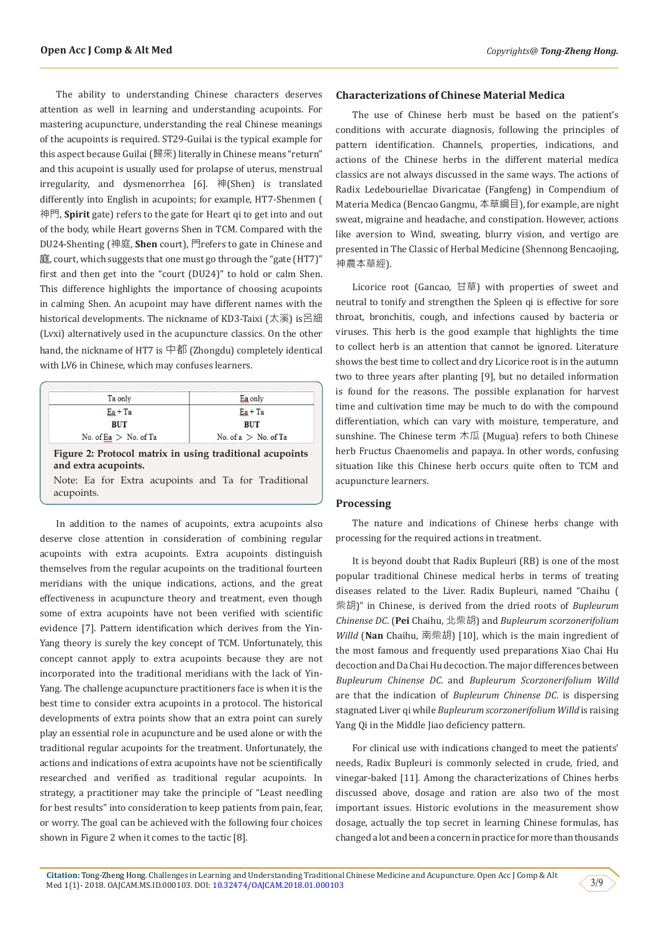The ability to understanding Chinese characters deserves attention as well in learning and understanding acupoints. For mastering acupuncture, understanding the real Chinese meanings of the acupoints is required. ST29-Guilai is the typical example for this aspect because Guilai (歸來) literally in Chinese means "return" and this acupoint is usually used for prolapse of uterus, menstrual irregularity, and dysmenorrhea [6]. 神(Shen) is translated differently into English in acupoints; for example, HT7-Shenmen ( 神門, **Spirit** gate) refers to the gate for Heart qi to get into and out of the body, while Heart governs Shen in TCM. Compared with the DU24-Shenting (神庭, **Shen** court), 門refers to gate in Chinese and 庭, court, which suggests that one must go through the "gate (HT7)" first and then get into the "court (DU24)" to hold or calm Shen. This difference highlights the importance of choosing acupoints in calming Shen. An acupoint may have different names with the historical developments. The nickname of KD3-Taixi (太溪) is呂細 (Lvxi) alternatively used in the acupuncture classics. On the other hand, the nickname of HT7 is 中都 (Zhongdu) completely identical with LV6 in Chinese, which may confuses learners.

| Ta only                                                                          | Ea only                |
|----------------------------------------------------------------------------------|------------------------|
| $Ea + Ta$                                                                        | $Ea + Ta$              |
| <b>BUT</b>                                                                       | <b>BUT</b>             |
| No. of Ea $>$ No. of Ta                                                          | No. of $a >$ No. of Ta |
| Figure 2: Protocol matrix in using traditional acupoints<br>and extra acupoints. |                        |
|                                                                                  |                        |

In addition to the names of acupoints, extra acupoints also deserve close attention in consideration of combining regular acupoints with extra acupoints. Extra acupoints distinguish themselves from the regular acupoints on the traditional fourteen meridians with the unique indications, actions, and the great effectiveness in acupuncture theory and treatment, even though some of extra acupoints have not been verified with scientific evidence [7]. Pattern identification which derives from the Yin-Yang theory is surely the key concept of TCM. Unfortunately, this concept cannot apply to extra acupoints because they are not incorporated into the traditional meridians with the lack of Yin-Yang. The challenge acupuncture practitioners face is when it is the best time to consider extra acupoints in a protocol. The historical developments of extra points show that an extra point can surely play an essential role in acupuncture and be used alone or with the traditional regular acupoints for the treatment. Unfortunately, the actions and indications of extra acupoints have not be scientifically researched and verified as traditional regular acupoints. In strategy, a practitioner may take the principle of "Least needling for best results" into consideration to keep patients from pain, fear, or worry. The goal can be achieved with the following four choices shown in Figure 2 when it comes to the tactic [8].

#### **Characterizations of Chinese Material Medica**

The use of Chinese herb must be based on the patient's conditions with accurate diagnosis, following the principles of pattern identification. Channels, properties, indications, and actions of the Chinese herbs in the different material medica classics are not always discussed in the same ways. The actions of Radix Ledebouriellae Divaricatae (Fangfeng) in Compendium of Materia Medica (Bencao Gangmu, 本草綱目), for example, are night sweat, migraine and headache, and constipation. However, actions like aversion to Wind, sweating, blurry vision, and vertigo are presented in The Classic of Herbal Medicine (Shennong Bencaojing, 神農本草經).

Licorice root (Gancao, 甘草) with properties of sweet and neutral to tonify and strengthen the Spleen qi is effective for sore throat, bronchitis, cough, and infections caused by bacteria or viruses. This herb is the good example that highlights the time to collect herb is an attention that cannot be ignored. Literature shows the best time to collect and dry Licorice root is in the autumn two to three years after planting [9], but no detailed information is found for the reasons. The possible explanation for harvest time and cultivation time may be much to do with the compound differentiation, which can vary with moisture, temperature, and sunshine. The Chinese term 木瓜 (Mugua) refers to both Chinese herb Fructus Chaenomelis and papaya. In other words, confusing situation like this Chinese herb occurs quite often to TCM and acupuncture learners.

#### **Processing**

The nature and indications of Chinese herbs change with processing for the required actions in treatment.

It is beyond doubt that Radix Bupleuri (RB) is one of the most popular traditional Chinese medical herbs in terms of treating diseases related to the Liver. Radix Bupleuri, named "Chaihu ( 柴胡)" in Chinese, is derived from the dried roots of *Bupleurum Chinense DC*. (**Pei** Chaihu, 北柴胡) and *Bupleurum scorzonerifolium Willd* (**Nan** Chaihu, 南柴胡) [10], which is the main ingredient of the most famous and frequently used preparations Xiao Chai Hu decoction and Da Chai Hu decoction. The major differences between *Bupleurum Chinense DC*. and *Bupleurum Scorzonerifolium Willd* are that the indication of *Bupleurum Chinense DC*. is dispersing stagnated Liver qi while *Bupleurum scorzonerifolium Willd* is raising Yang Qi in the Middle Jiao deficiency pattern.

For clinical use with indications changed to meet the patients' needs, Radix Bupleuri is commonly selected in crude, fried, and vinegar-baked [11]. Among the characterizations of Chines herbs discussed above, dosage and ration are also two of the most important issues. Historic evolutions in the measurement show dosage, actually the top secret in learning Chinese formulas, has changed a lot and been a concern in practice for more than thousands

3/9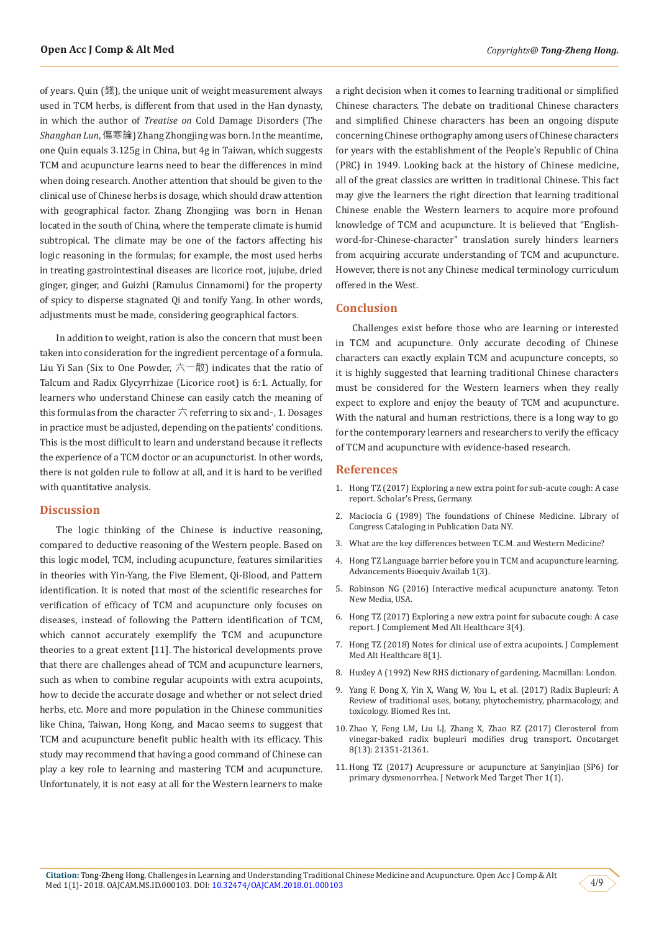of years. Quin (錢), the unique unit of weight measurement always used in TCM herbs, is different from that used in the Han dynasty, in which the author of *Treatise on* Cold Damage Disorders (The *Shanghan Lun*, 傷寒論) Zhang Zhongjing was born. In the meantime, one Quin equals 3.125g in China, but 4g in Taiwan, which suggests TCM and acupuncture learns need to bear the differences in mind when doing research. Another attention that should be given to the clinical use of Chinese herbs is dosage, which should draw attention with geographical factor. Zhang Zhongjing was born in Henan located in the south of China, where the temperate climate is humid subtropical. The climate may be one of the factors affecting his logic reasoning in the formulas; for example, the most used herbs in treating gastrointestinal diseases are licorice root, jujube, dried ginger, ginger, and Guizhi (Ramulus Cinnamomi) for the property of spicy to disperse stagnated Qi and tonify Yang. In other words, adjustments must be made, considering geographical factors.

In addition to weight, ration is also the concern that must been taken into consideration for the ingredient percentage of a formula. Liu Yi San (Six to One Powder,  $\overrightarrow{\wedge}$   $\overrightarrow{m}$ ) indicates that the ratio of Talcum and Radix Glycyrrhizae (Licorice root) is 6:1. Actually, for learners who understand Chinese can easily catch the meaning of this formulas from the character  $\overrightarrow{\wedge}$  referring to six and-, 1. Dosages in practice must be adjusted, depending on the patients' conditions. This is the most difficult to learn and understand because it reflects the experience of a TCM doctor or an acupuncturist. In other words, there is not golden rule to follow at all, and it is hard to be verified with quantitative analysis.

#### **Discussion**

The logic thinking of the Chinese is inductive reasoning, compared to deductive reasoning of the Western people. Based on this logic model, TCM, including acupuncture, features similarities in theories with Yin-Yang, the Five Element, Qi-Blood, and Pattern identification. It is noted that most of the scientific researches for verification of efficacy of TCM and acupuncture only focuses on diseases, instead of following the Pattern identification of TCM, which cannot accurately exemplify the TCM and acupuncture theories to a great extent [11]. The historical developments prove that there are challenges ahead of TCM and acupuncture learners, such as when to combine regular acupoints with extra acupoints, how to decide the accurate dosage and whether or not select dried herbs, etc. More and more population in the Chinese communities like China, Taiwan, Hong Kong, and Macao seems to suggest that TCM and acupuncture benefit public health with its efficacy. This study may recommend that having a good command of Chinese can play a key role to learning and mastering TCM and acupuncture. Unfortunately, it is not easy at all for the Western learners to make

a right decision when it comes to learning traditional or simplified Chinese characters. The debate on traditional Chinese characters and simplified Chinese characters has been an ongoing dispute concerning Chinese orthography among users of Chinese characters for years with the establishment of the People's Republic of China (PRC) in 1949. Looking back at the history of Chinese medicine, all of the great classics are written in traditional Chinese. This fact may give the learners the right direction that learning traditional Chinese enable the Western learners to acquire more profound knowledge of TCM and acupuncture. It is believed that "Englishword-for-Chinese-character" translation surely hinders learners from acquiring accurate understanding of TCM and acupuncture. However, there is not any Chinese medical terminology curriculum offered in the West.

## **Conclusion**

Challenges exist before those who are learning or interested in TCM and acupuncture. Only accurate decoding of Chinese characters can exactly explain TCM and acupuncture concepts, so it is highly suggested that learning traditional Chinese characters must be considered for the Western learners when they really expect to explore and enjoy the beauty of TCM and acupuncture. With the natural and human restrictions, there is a long way to go for the contemporary learners and researchers to verify the efficacy of TCM and acupuncture with evidence-based research.

#### **References**

- 1. Hong TZ (2017) Exploring a new extra point for sub-acute cough: A case report. Scholar's Press, Germany.
- 2. Maciocia G (1989) The foundations of Chinese Medicine. Library of Congress Cataloging in Publication Data NY.
- 3. [What are the key differences between T.C.M. and Western Medicine?](http://www.china-acupuncture.net/compare.html)
- 4. [Hong TZ Language barrier before you in TCM and acupuncture learning.](https://crimsonpublishers.com/abb/fulltext/ABB.000515.php) [Advancements Bioequiv Availab 1\(3\).](https://crimsonpublishers.com/abb/fulltext/ABB.000515.php)
- 5. [Robinson NG \(2016\) Interactive medical acupuncture anatomy. Teton](https://www.crcpress.com/Interactive-Medical-Acupuncture-Anatomy/Robinson/p/book/9781591610205) [New Media, USA.](https://www.crcpress.com/Interactive-Medical-Acupuncture-Anatomy/Robinson/p/book/9781591610205)
- 6. [Hong TZ \(2017\) Exploring a new extra point for subacute cough: A case](https://juniperpublishers.com/jcmah/pdf/JCMAH.MS.ID.555619.pdf) [report. J Complement Med Alt Healthcare 3\(4\).](https://juniperpublishers.com/jcmah/pdf/JCMAH.MS.ID.555619.pdf)
- 7. [Hong TZ \(2018\) Notes for clinical use of extra acupoints. J Complement](https://juniperpublishers.com/jcmah/pdf/JCMAH.MS.ID.555728.pdf) [Med Alt Healthcare 8\(1\).](https://juniperpublishers.com/jcmah/pdf/JCMAH.MS.ID.555728.pdf)
- 8. [Huxley A \(1992\) New RHS dictionary of gardening. Macmillan: London.](https://books.google.co.in/books/about/The_new_Royal_Horticultural_Society_dict.html?id=F1JQAAAAYAAJ&redir_esc=y)
- 9. [Yang F, Dong X, Yin X, Wang W, You L, et al. \(2017\) Radix Bupleuri: A](https://www.ncbi.nlm.nih.gov/pubmed/28593176) [Review of traditional uses, botany, phytochemistry, pharmacology, and](https://www.ncbi.nlm.nih.gov/pubmed/28593176) [toxicology. Biomed Res Int.](https://www.ncbi.nlm.nih.gov/pubmed/28593176)
- 10. [Zhao Y, Feng LM, Liu LJ, Zhang X, Zhao RZ \(2017\) Clerosterol from](https://www.ncbi.nlm.nih.gov/pubmed/28423482) [vinegar-baked radix bupleuri modifies drug transport. Oncotarget](https://www.ncbi.nlm.nih.gov/pubmed/28423482) [8\(13\): 21351-21361.](https://www.ncbi.nlm.nih.gov/pubmed/28423482)
- 11. [Hong TZ \(2017\) Acupressure or acupuncture at Sanyinjiao \(SP6\) for](https://www.sciforschenonline.org/journals/network-medicine-targeted-therapies/article-data/JNMTT-1-103/JNMTT-1-103.pdf) [primary dysmenorrhea. J Network Med Target Ther 1\(1\).](https://www.sciforschenonline.org/journals/network-medicine-targeted-therapies/article-data/JNMTT-1-103/JNMTT-1-103.pdf)

4/9